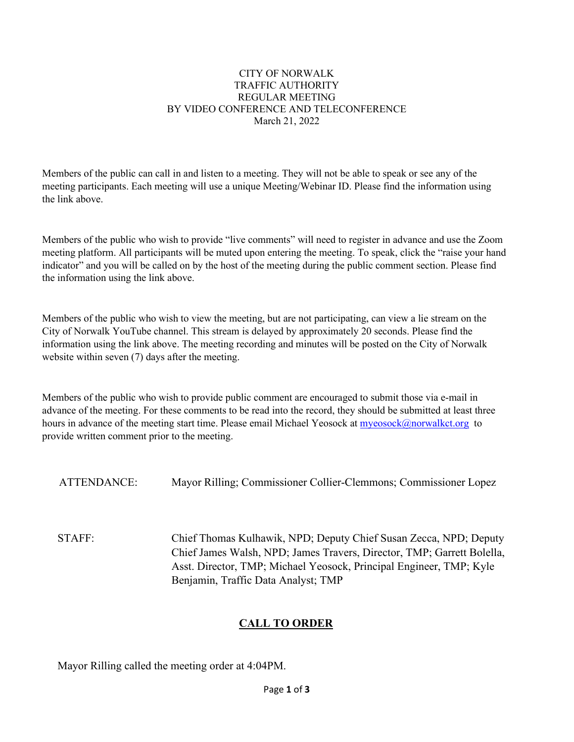#### CITY OF NORWALK TRAFFIC AUTHORITY REGULAR MEETING BY VIDEO CONFERENCE AND TELECONFERENCE March 21, 2022

Members of the public can call in and listen to a meeting. They will not be able to speak or see any of the meeting participants. Each meeting will use a unique Meeting/Webinar ID. Please find the information using the link above.

Members of the public who wish to provide "live comments" will need to register in advance and use the Zoom meeting platform. All participants will be muted upon entering the meeting. To speak, click the "raise your hand indicator" and you will be called on by the host of the meeting during the public comment section. Please find the information using the link above.

Members of the public who wish to view the meeting, but are not participating, can view a lie stream on the City of Norwalk YouTube channel. This stream is delayed by approximately 20 seconds. Please find the information using the link above. The meeting recording and minutes will be posted on the City of Norwalk website within seven (7) days after the meeting.

Members of the public who wish to provide public comment are encouraged to submit those via e-mail in advance of the meeting. For these comments to be read into the record, they should be submitted at least three hours in advance of the meeting start time. Please email Michael Yeosock at [myeosock@norwalkct.org](mailto:myeosock@norwalkct.org) to provide written comment prior to the meeting.

ATTENDANCE: Mayor Rilling; Commissioner Collier-Clemmons; Commissioner Lopez

STAFF: Chief Thomas Kulhawik, NPD; Deputy Chief Susan Zecca, NPD; Deputy Chief James Walsh, NPD; James Travers, Director, TMP; Garrett Bolella, Asst. Director, TMP; Michael Yeosock, Principal Engineer, TMP; Kyle Benjamin, Traffic Data Analyst; TMP

# **CALL TO ORDER**

Mayor Rilling called the meeting order at 4:04PM.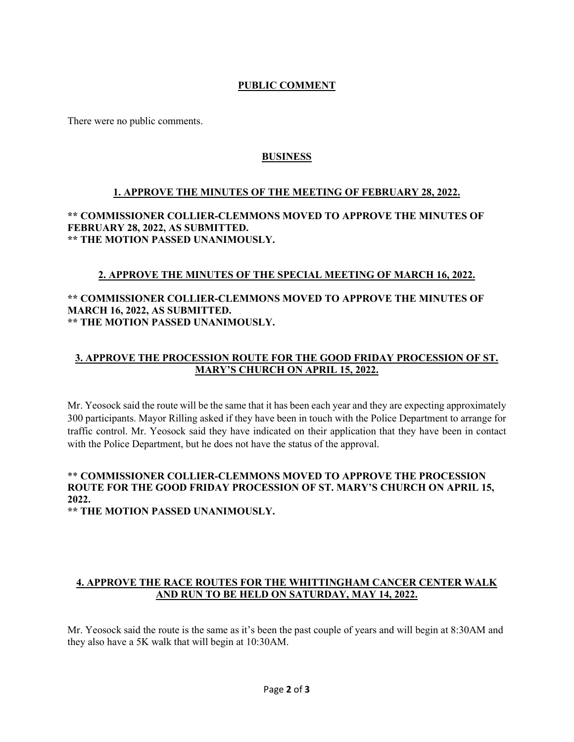# **PUBLIC COMMENT**

There were no public comments.

# **BUSINESS**

## **1. APPROVE THE MINUTES OF THE MEETING OF FEBRUARY 28, 2022.**

**\*\* COMMISSIONER COLLIER-CLEMMONS MOVED TO APPROVE THE MINUTES OF FEBRUARY 28, 2022, AS SUBMITTED. \*\* THE MOTION PASSED UNANIMOUSLY.** 

### **2. APPROVE THE MINUTES OF THE SPECIAL MEETING OF MARCH 16, 2022.**

### **\*\* COMMISSIONER COLLIER-CLEMMONS MOVED TO APPROVE THE MINUTES OF MARCH 16, 2022, AS SUBMITTED. \*\* THE MOTION PASSED UNANIMOUSLY.**

# **3. APPROVE THE PROCESSION ROUTE FOR THE GOOD FRIDAY PROCESSION OF ST. MARY'S CHURCH ON APRIL 15, 2022.**

Mr. Yeosock said the route will be the same that it has been each year and they are expecting approximately 300 participants. Mayor Rilling asked if they have been in touch with the Police Department to arrange for traffic control. Mr. Yeosock said they have indicated on their application that they have been in contact with the Police Department, but he does not have the status of the approval.

# \*\* **COMMISSIONER COLLIER-CLEMMONS MOVED TO APPROVE THE PROCESSION ROUTE FOR THE GOOD FRIDAY PROCESSION OF ST. MARY'S CHURCH ON APRIL 15, 2022.**

**\*\* THE MOTION PASSED UNANIMOUSLY.** 

# **4. APPROVE THE RACE ROUTES FOR THE WHITTINGHAM CANCER CENTER WALK AND RUN TO BE HELD ON SATURDAY, MAY 14, 2022.**

Mr. Yeosock said the route is the same as it's been the past couple of years and will begin at 8:30AM and they also have a 5K walk that will begin at 10:30AM.